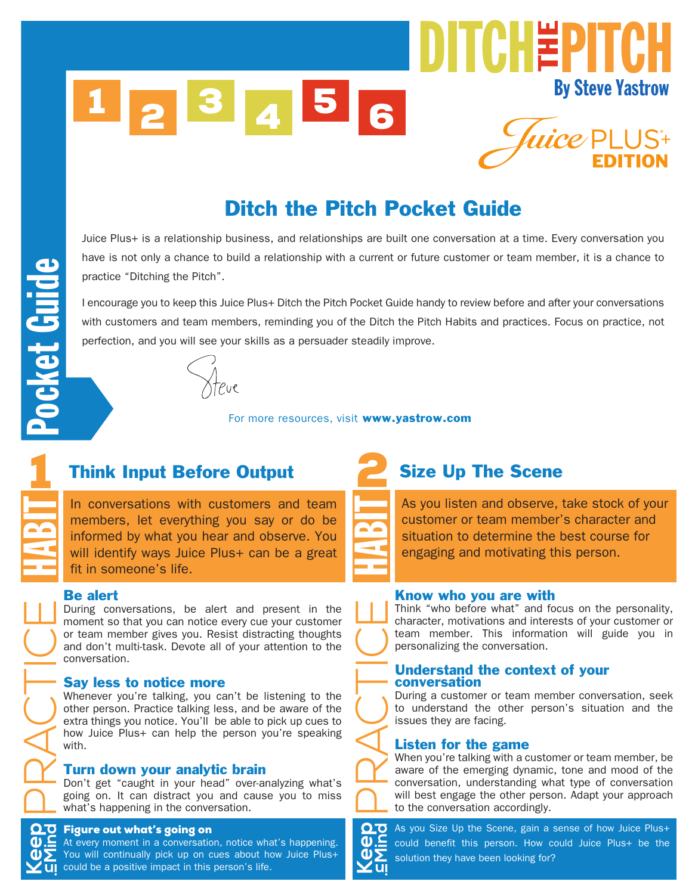## Ditch the Pitch Pocket Guide

Juice Plus+ is a relationship business, and relationships are built one conversation at a time. Every conversation you have is not only a chance to build a relationship with a current or future customer or team member, it is a chance to practice "Ditching the Pitch".

I encourage you to keep this Juice Plus+ Ditch the Pitch Pocket Guide handy to review before and after your conversations with customers and team members, reminding you of the Ditch the Pitch Habits and practices. Focus on practice, not perfection, and you will see your skills as a persuader steadily improve.



For more resources, visit www.yastrow.com

## 1 Think Input Before Output

In conversations with customers and team members, let everything you say or do be informed by what you hear and observe. You will identify ways Juice Plus+ can be a great fit in someone's life.

#### Be alert

During conversations, be alert and present in the moment so that you can notice every cue your customer or team member gives you. Resist distracting thoughts and don't multi-task. Devote all of your attention to the conversation.

#### Say less to notice more

Whenever you're talking, you can't be listening to the other person. Practice talking less, and be aware of the extra things you notice. You'll be able to pick up cues to how Juice Plus+ can help the person you're speaking with.

#### Turn down your analytic brain

Don't get "caught in your head" over-analyzing what's going on. It can distract you and cause you to miss what's happening in the conversation.

#### Figure out what's going on

**Mind**

**Keep**<br>EMind<br>EMind

ACTICE

HABIT

At every moment in a conversation, notice what's happening. You will continually pick up on cues about how Juice Plus+ could be a positive impact in this person's life.



 $\frac{\alpha}{\Delta}$ 

## Size Up The Scene

As you listen and observe, take stock of your customer or team member's character and situation to determine the best course for engaging and motivating this person.

#### Know who you are with

Think "who before what" and focus on the personality, character, motivations and interests of your customer or team member. This information will guide you in personalizing the conversation.

#### Understand the context of your conversation

During a customer or team member conversation, seek to understand the other person's situation and the issues they are facing.

# ACTICE Listen for the game

When you're talking with a customer or team member, be aware of the emerging dynamic, tone and mood of the conversation, understanding what type of conversation will best engage the other person. Adapt your approach to the conversation accordingly.

**Mind inKeep** As you Size Up the Scene, gain a sense of how Juice Plus+ could benefit this person. How could Juice Plus+ be the solution they have been looking for?